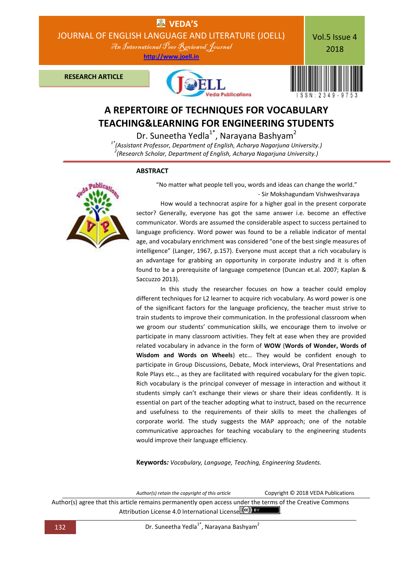

# **TEACHING&LEARNING FOR ENGINEERING STUDENTS**

Dr. Suneetha Yedla<sup>1\*</sup>, Narayana Bashyam<sup>2</sup>

*1\*(Assistant Professor, Department of English, Acharya Nagarjuna University.) 2 (Research Scholar, Department of English, Acharya Nagarjuna University.)*

# **ABSTRACT**



 "No matter what people tell you, words and ideas can change the world." - Sir Mokshagundam Vishweshvaraya

How would a technocrat aspire for a higher goal in the present corporate sector? Generally, everyone has got the same answer i.e. become an effective communicator. Words are assumed the considerable aspect to success pertained to language proficiency. Word power was found to be a reliable indicator of mental age, and vocabulary enrichment was considered "one of the best single measures of intelligence" (Langer, 1967, p.157). Everyone must accept that a rich vocabulary is an advantage for grabbing an opportunity in corporate industry and it is often found to be a prerequisite of language competence (Duncan et.al. 2007; Kaplan & Saccuzzo 2013).

In this study the researcher focuses on how a teacher could employ different techniques for L2 learner to acquire rich vocabulary. As word power is one of the significant factors for the language proficiency, the teacher must strive to train students to improve their communication. In the professional classroom when we groom our students' communication skills, we encourage them to involve or participate in many classroom activities. They felt at ease when they are provided related vocabulary in advance in the form of **WOW** (**Words of Wonder, Words of Wisdom and Words on Wheels**) etc… They would be confident enough to participate in Group Discussions, Debate, Mock interviews, Oral Presentations and Role Plays etc.., as they are facilitated with required vocabulary for the given topic. Rich vocabulary is the principal conveyer of message in interaction and without it students simply can't exchange their views or share their ideas confidently. It is essential on part of the teacher adopting what to instruct, based on the recurrence and usefulness to the requirements of their skills to meet the challenges of corporate world. The study suggests the MAP approach; one of the notable communicative approaches for teaching vocabulary to the engineering students would improve their language efficiency.

**Keywords***: Vocabulary, Language, Teaching, Engineering Students.*

Author(s) retain the copyright of this article<br>
Copyright © 2018 VEDA Publications

Author(s) agree that this article remains permanently open access under the terms of the Creative Commons Attribution License 4.0 International License (cc) BY

132 **Dr. Suneetha Yedla<sup>1\*</sup>, Narayana Bashyam<sup>2</sup>**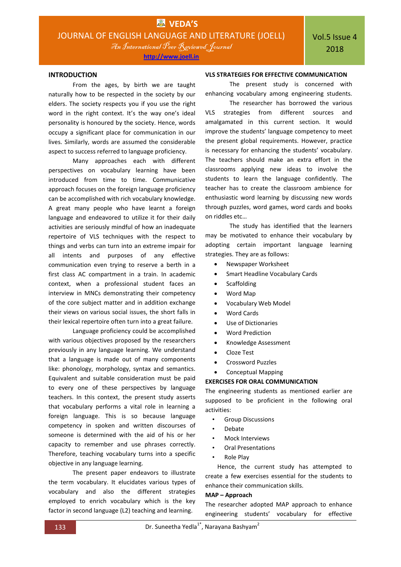An International Peer Reviewed Journal

**http://www.joell.in**

From the ages, by birth we are taught naturally how to be respected in the society by our elders. The society respects you if you use the right word in the right context. It's the way one's ideal personality is honoured by the society. Hence, words occupy a significant place for communication in our lives. Similarly, words are assumed the considerable aspect to success referred to language proficiency.

Many approaches each with different perspectives on vocabulary learning have been introduced from time to time. Communicative approach focuses on the foreign language proficiency can be accomplished with rich vocabulary knowledge. A great many people who have learnt a foreign language and endeavored to utilize it for their daily activities are seriously mindful of how an inadequate repertoire of VLS techniques with the respect to things and verbs can turn into an extreme impair for all intents and purposes of any effective communication even trying to reserve a berth in a first class AC compartment in a train. In academic context, when a professional student faces an interview in MNCs demonstrating their competency of the core subject matter and in addition exchange their views on various social issues, the short falls in their lexical repertoire often turn into a great failure.

Language proficiency could be accomplished with various objectives proposed by the researchers previously in any language learning. We understand that a language is made out of many components like: phonology, morphology, syntax and semantics. Equivalent and suitable consideration must be paid to every one of these perspectives by language teachers. In this context, the present study asserts that vocabulary performs a vital role in learning a foreign language. This is so because language competency in spoken and written discourses of someone is determined with the aid of his or her capacity to remember and use phrases correctly. Therefore, teaching vocabulary turns into a specific objective in any language learning.

The present paper endeavors to illustrate the term vocabulary. It elucidates various types of vocabulary and also the different strategies employed to enrich vocabulary which is the key factor in second language (L2) teaching and learning.

# **VLS STRATEGIES FOR EFFECTIVE COMMUNICATION**

The present study is concerned with enhancing vocabulary among engineering students.

The researcher has borrowed the various VLS strategies from different sources and amalgamated in this current section. It would improve the students' language competency to meet the present global requirements. However, practice is necessary for enhancing the students' vocabulary. The teachers should make an extra effort in the classrooms applying new ideas to involve the students to learn the language confidently. The teacher has to create the classroom ambience for enthusiastic word learning by discussing new words through puzzles, word games, word cards and books on riddles etc…

The study has identified that the learners may be motivated to enhance their vocabulary by adopting certain important language learning strategies. They are as follows:

- Newspaper Worksheet
- Smart Headline Vocabulary Cards
- Scaffolding
- Word Map
- Vocabulary Web Model
- Word Cards
- Use of Dictionaries
- Word Prediction
- Knowledge Assessment
- Cloze Test
- Crossword Puzzles
- Conceptual Mapping

#### **EXERCISES FOR ORAL COMMUNICATION**

The engineering students as mentioned earlier are supposed to be proficient in the following oral activities:

- Group Discussions
- Debate
- Mock Interviews
- Oral Presentations
- Role Play

Hence, the current study has attempted to create a few exercises essential for the students to enhance their communication skills.

#### **MAP – Approach**

The researcher adopted MAP approach to enhance engineering students' vocabulary for effective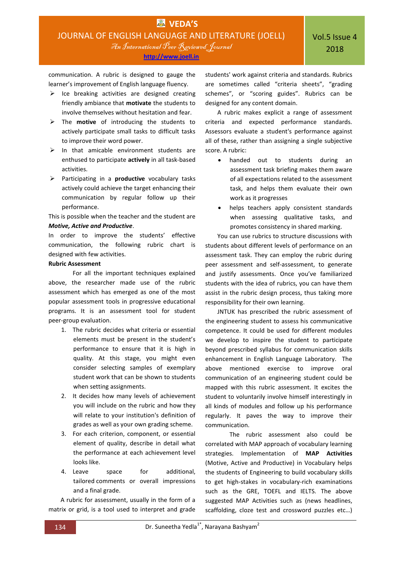communication. A rubric is designed to gauge the learner's improvement of English language fluency.

- $\triangleright$  Ice breaking activities are designed creating friendly ambiance that **motivate** the students to involve themselves without hesitation and fear.
- The **motive** of introducing the students to actively participate small tasks to difficult tasks to improve their word power.
- $\triangleright$  In that amicable environment students are enthused to participate **actively** in all task-based activities.
- Participating in a **productive** vocabulary tasks actively could achieve the target enhancing their communication by regular follow up their performance.

This is possible when the teacher and the student are *Motive, Active and Productive*.

In order to improve the students' effective communication, the following rubric chart is designed with few activities.

# **Rubric Assessment**

For all the important techniques explained above, the researcher made use of the rubric assessment which has emerged as one of the most popular assessment tools in progressive educational programs. It is an assessment tool for student peer‐group evaluation.

- 1. The rubric decides what criteria or essential elements must be present in the student's performance to ensure that it is high in quality. At this stage, you might even consider selecting samples of exemplary student work that can be shown to students when setting assignments.
- 2. It decides how many levels of achievement you will include on the rubric and how they will relate to your institution's definition of grades as well as your own grading scheme.
- 3. For each criterion, component, or essential element of quality, describe in detail what the performance at each achievement level looks like.
- 4. Leave space for additional, tailored comments or overall impressions and a final grade.

A rubric for assessment, usually in the form of a matrix or grid, is a tool used to interpret and grade students' work against criteria and standards. Rubrics are sometimes called "criteria sheets", "grading schemes", or "scoring guides". Rubrics can be designed for any content domain.

A rubric makes explicit a range of assessment criteria and expected performance standards. Assessors evaluate a student's performance against all of these, rather than assigning a single subjective score. A rubric:

- handed out to students during an assessment task briefing makes them aware of all expectations related to the assessment task, and helps them evaluate their own work as it progresses
- helps teachers apply consistent standards when assessing qualitative tasks, and promotes consistency in shared marking.

You can use rubrics to structure discussions with students about different levels of performance on an assessment task. They can employ the rubric during peer assessment and self-assessment, to generate and justify assessments. Once you've familiarized students with the idea of rubrics, you can have them assist in the rubric design process, thus taking more responsibility for their own learning.

JNTUK has prescribed the rubric assessment of the engineering student to assess his communicative competence. It could be used for different modules we develop to inspire the student to participate beyond prescribed syllabus for communication skills enhancement in English Language Laboratory. The above mentioned exercise to improve oral communication of an engineering student could be mapped with this rubric assessment. It excites the student to voluntarily involve himself interestingly in all kinds of modules and follow up his performance regularly. It paves the way to improve their communication.

The rubric assessment also could be correlated with MAP approach of vocabulary learning strategies. Implementation of **MAP Activities** (Motive, Active and Productive) in Vocabulary helps the students of Engineering to build vocabulary skills to get high-stakes in vocabulary-rich examinations such as the GRE, TOEFL and IELTS. The above suggested MAP Activities such as (news headlines, scaffolding, cloze test and crossword puzzles etc…)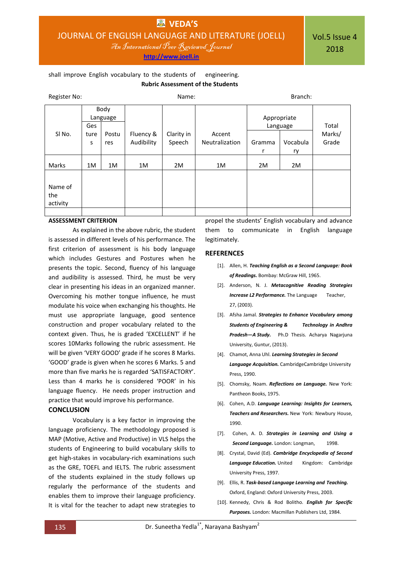**http://www.joell.in**

Vol.5 Issue 4 2018

# shall improve English vocabulary to the students of engineering.  **Rubric Assessment of the Students**

| Register No:      |                         |       | Name:      |            |                | Branch:                 |          |        |
|-------------------|-------------------------|-------|------------|------------|----------------|-------------------------|----------|--------|
|                   | Body<br>Language<br>Ges |       |            |            |                | Appropriate<br>Language |          | Total  |
| SI <sub>No.</sub> | ture                    | Postu | Fluency &  | Clarity in | Accent         |                         |          | Marks/ |
|                   | S                       | res   | Audibility | Speech     | Neutralization | Gramma                  | Vocabula | Grade  |
|                   |                         |       |            |            |                | r                       | ry       |        |
| Marks             | 1M                      | 1M    | 1M         | 2M         | 1M             | 2M                      | 2M       |        |
| Name of           |                         |       |            |            |                |                         |          |        |
| the<br>activity   |                         |       |            |            |                |                         |          |        |
|                   |                         |       |            |            |                |                         |          |        |

# **ASSESSMENT CRITERION**

As explained in the above rubric, the student is assessed in different levels of his performance. The first criterion of assessment is his body language which includes Gestures and Postures when he presents the topic. Second, fluency of his language and audibility is assessed. Third, he must be very clear in presenting his ideas in an organized manner. Overcoming his mother tongue influence, he must modulate his voice when exchanging his thoughts. He must use appropriate language, good sentence construction and proper vocabulary related to the context given. Thus, he is graded 'EXCELLENT' if he scores 10Marks following the rubric assessment. He will be given 'VERY GOOD' grade if he scores 8 Marks. 'GOOD' grade is given when he scores 6 Marks. 5 and more than five marks he is regarded 'SATISFACTORY'. Less than 4 marks he is considered 'POOR' in his language fluency. He needs proper instruction and practice that would improve his performance.

# **CONCLUSION**

Vocabulary is a key factor in improving the language proficiency. The methodology proposed is MAP (Motive, Active and Productive) in VLS helps the students of Engineering to build vocabulary skills to get high-stakes in vocabulary-rich examinations such as the GRE, TOEFL and IELTS. The rubric assessment of the students explained in the study follows up regularly the performance of the students and enables them to improve their language proficiency. It is vital for the teacher to adapt new strategies to

propel the students' English vocabulary and advance them to communicate in English language legitimately.

### **REFERENCES**

- [1]. Allen, H. *Teaching English as a Second Language: Book of Readings.* Bombay: McGraw Hill, 1965.
- [2]. Anderson, N. J. *Metacognitive Reading Strategies*  **Increase L2 Performance.** The Language Teacher, 27, (2003).
- [3]. Afsha Jamal. *Strategies to Enhance Vocabulary among Students of Engineering & Technology in Andhra Pradesh—A Study.* Ph.D Thesis. Acharya Nagarjuna University, Guntur, (2013).
- [4]. Chamot, Anna Uhl. *Learning Strategies in Second*

*Language Acquisition.* CambridgeCambridge University Press, 1990.

- [5]. Chomsky, Noam. *Reflections on Language.* New York: Pantheon Books, 1975.
- [6]. Cohen, A.D. *Language Learning: Insights for Learners, Teachers and Researchers.* New York: Newbury House, 1990.
- [7]. Cohen, A. D. *Strategies in Learning and Using a*  **Second Language.** London: Longman, 1998.
- [8]. Crystal, David (Ed). *Cambridge Encyclopedia of Second*  **Language Education.** United Kingdom: Cambridge University Press, 1997.
- [9]. Ellis, R. *Task-based Language Learning and Teaching.*  Oxford, England: Oxford University Press, 2003.
- [10]. Kennedy, Chris & Rod Bolitho. *English for Specific Purposes.* London: Macmillan Publishers Ltd, 1984.